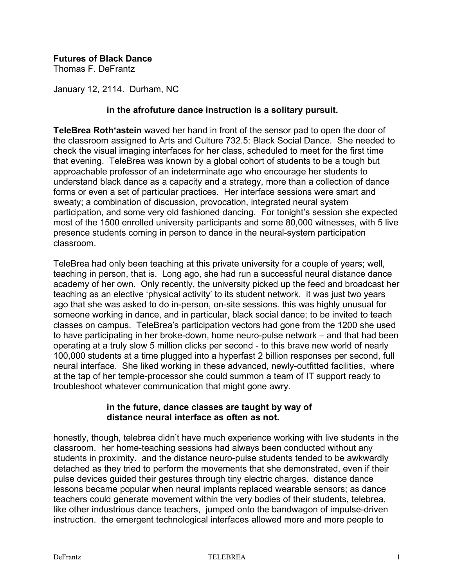# **Futures of Black Dance**

Thomas F. DeFrantz

January 12, 2114. Durham, NC

### **in the afrofuture dance instruction is a solitary pursuit.**

**TeleBrea Roth'astein** waved her hand in front of the sensor pad to open the door of the classroom assigned to Arts and Culture 732.5: Black Social Dance. She needed to check the visual imaging interfaces for her class, scheduled to meet for the first time that evening. TeleBrea was known by a global cohort of students to be a tough but approachable professor of an indeterminate age who encourage her students to understand black dance as a capacity and a strategy, more than a collection of dance forms or even a set of particular practices. Her interface sessions were smart and sweaty; a combination of discussion, provocation, integrated neural system participation, and some very old fashioned dancing. For tonight's session she expected most of the 1500 enrolled university participants and some 80,000 witnesses, with 5 live presence students coming in person to dance in the neural-system participation classroom.

TeleBrea had only been teaching at this private university for a couple of years; well, teaching in person, that is. Long ago, she had run a successful neural distance dance academy of her own. Only recently, the university picked up the feed and broadcast her teaching as an elective 'physical activity' to its student network. it was just two years ago that she was asked to do in-person, on-site sessions. this was highly unusual for someone working in dance, and in particular, black social dance; to be invited to teach classes on campus. TeleBrea's participation vectors had gone from the 1200 she used to have participating in her broke-down, home neuro-pulse network – and that had been operating at a truly slow 5 million clicks per second - to this brave new world of nearly 100,000 students at a time plugged into a hyperfast 2 billion responses per second, full neural interface. She liked working in these advanced, newly-outfitted facilities, where at the tap of her temple-processor she could summon a team of IT support ready to troubleshoot whatever communication that might gone awry.

#### **in the future, dance classes are taught by way of distance neural interface as often as not.**

honestly, though, telebrea didn't have much experience working with live students in the classroom. her home-teaching sessions had always been conducted without any students in proximity. and the distance neuro-pulse students tended to be awkwardly detached as they tried to perform the movements that she demonstrated, even if their pulse devices guided their gestures through tiny electric charges. distance dance lessons became popular when neural implants replaced wearable sensors; as dance teachers could generate movement within the very bodies of their students, telebrea, like other industrious dance teachers, jumped onto the bandwagon of impulse-driven instruction. the emergent technological interfaces allowed more and more people to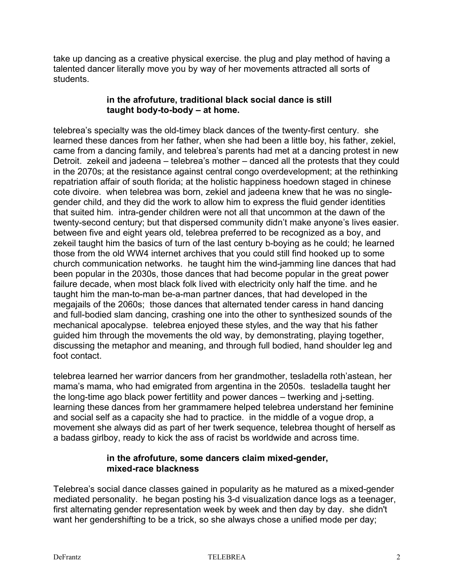take up dancing as a creative physical exercise. the plug and play method of having a talented dancer literally move you by way of her movements attracted all sorts of students.

## **in the afrofuture, traditional black social dance is still taught body-to-body – at home.**

telebrea's specialty was the old-timey black dances of the twenty-first century. she learned these dances from her father, when she had been a little boy, his father, zekiel, came from a dancing family, and telebrea's parents had met at a dancing protest in new Detroit. zekeil and jadeena – telebrea's mother – danced all the protests that they could in the 2070s; at the resistance against central congo overdevelopment; at the rethinking repatriation affair of south florida; at the holistic happiness hoedown staged in chinese cote divoire. when telebrea was born, zekiel and jadeena knew that he was no singlegender child, and they did the work to allow him to express the fluid gender identities that suited him. intra-gender children were not all that uncommon at the dawn of the twenty-second century; but that dispersed community didn't make anyone's lives easier. between five and eight years old, telebrea preferred to be recognized as a boy, and zekeil taught him the basics of turn of the last century b-boying as he could; he learned those from the old WW4 internet archives that you could still find hooked up to some church communication networks. he taught him the wind-jamming line dances that had been popular in the 2030s, those dances that had become popular in the great power failure decade, when most black folk lived with electricity only half the time. and he taught him the man-to-man be-a-man partner dances, that had developed in the megajails of the 2060s; those dances that alternated tender caress in hand dancing and full-bodied slam dancing, crashing one into the other to synthesized sounds of the mechanical apocalypse. telebrea enjoyed these styles, and the way that his father guided him through the movements the old way, by demonstrating, playing together, discussing the metaphor and meaning, and through full bodied, hand shoulder leg and foot contact.

telebrea learned her warrior dancers from her grandmother, tesladella roth'astean, her mama's mama, who had emigrated from argentina in the 2050s. tesladella taught her the long-time ago black power fertitlity and power dances – twerking and j-setting. learning these dances from her grammamere helped telebrea understand her feminine and social self as a capacity she had to practice. in the middle of a vogue drop, a movement she always did as part of her twerk sequence, telebrea thought of herself as a badass girlboy, ready to kick the ass of racist bs worldwide and across time.

#### **in the afrofuture, some dancers claim mixed-gender, mixed-race blackness**

Telebrea's social dance classes gained in popularity as he matured as a mixed-gender mediated personality. he began posting his 3-d visualization dance logs as a teenager, first alternating gender representation week by week and then day by day. she didn't want her gendershifting to be a trick, so she always chose a unified mode per day;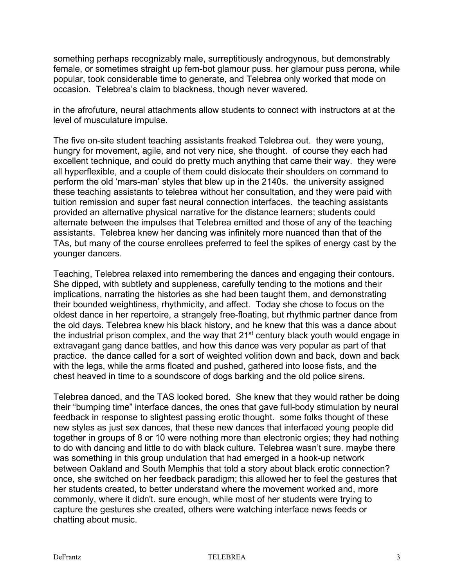something perhaps recognizably male, surreptitiously androgynous, but demonstrably female, or sometimes straight up fem-bot glamour puss. her glamour puss perona, while popular, took considerable time to generate, and Telebrea only worked that mode on occasion. Telebrea's claim to blackness, though never wavered.

in the afrofuture, neural attachments allow students to connect with instructors at at the level of musculature impulse.

The five on-site student teaching assistants freaked Telebrea out. they were young, hungry for movement, agile, and not very nice, she thought. of course they each had excellent technique, and could do pretty much anything that came their way. they were all hyperflexible, and a couple of them could dislocate their shoulders on command to perform the old 'mars-man' styles that blew up in the 2140s. the university assigned these teaching assistants to telebrea without her consultation, and they were paid with tuition remission and super fast neural connection interfaces. the teaching assistants provided an alternative physical narrative for the distance learners; students could alternate between the impulses that Telebrea emitted and those of any of the teaching assistants. Telebrea knew her dancing was infinitely more nuanced than that of the TAs, but many of the course enrollees preferred to feel the spikes of energy cast by the younger dancers.

Teaching, Telebrea relaxed into remembering the dances and engaging their contours. She dipped, with subtlety and suppleness, carefully tending to the motions and their implications, narrating the histories as she had been taught them, and demonstrating their bounded weightiness, rhythmicity, and affect. Today she chose to focus on the oldest dance in her repertoire, a strangely free-floating, but rhythmic partner dance from the old days. Telebrea knew his black history, and he knew that this was a dance about the industrial prison complex, and the way that 21<sup>st</sup> century black youth would engage in extravagant gang dance battles, and how this dance was very popular as part of that practice. the dance called for a sort of weighted volition down and back, down and back with the legs, while the arms floated and pushed, gathered into loose fists, and the chest heaved in time to a soundscore of dogs barking and the old police sirens.

Telebrea danced, and the TAS looked bored. She knew that they would rather be doing their "bumping time" interface dances, the ones that gave full-body stimulation by neural feedback in response to slightest passing erotic thought. some folks thought of these new styles as just sex dances, that these new dances that interfaced young people did together in groups of 8 or 10 were nothing more than electronic orgies; they had nothing to do with dancing and little to do with black culture. Telebrea wasn't sure. maybe there was something in this group undulation that had emerged in a hook-up network between Oakland and South Memphis that told a story about black erotic connection? once, she switched on her feedback paradigm; this allowed her to feel the gestures that her students created, to better understand where the movement worked and, more commonly, where it didn't. sure enough, while most of her students were trying to capture the gestures she created, others were watching interface news feeds or chatting about music.